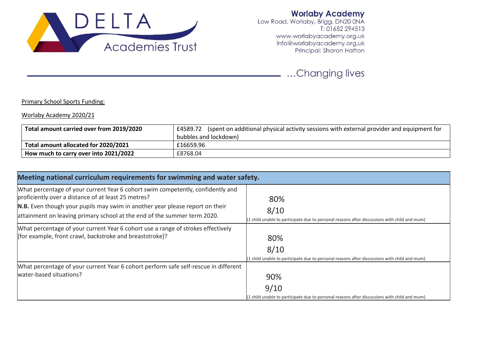

**Worlaby Academy**<br>Low Road, Worlaby, Brigg, DN20 0NA<br>T: 01652 294513 www.worlabyacademy.org.uk info@worlabyacademy.org.uk Principal: Sharon Hatton

...Changing lives

## Primary School Sports Funding:

## Worlaby Academy 2020/21

| Total amount carried over from 2019/2020 | £4589.72 (spent on additional physical activity sessions with external provider and equipment for |  |
|------------------------------------------|---------------------------------------------------------------------------------------------------|--|
|                                          | bubbles and lockdown)                                                                             |  |
| Total amount allocated for 2020/2021     | £16659.96                                                                                         |  |
| How much to carry over into 2021/2022    | £8768.04                                                                                          |  |

| Meeting national curriculum requirements for swimming and water safety.                                                                                  |                                                                                                |  |  |  |
|----------------------------------------------------------------------------------------------------------------------------------------------------------|------------------------------------------------------------------------------------------------|--|--|--|
| What percentage of your current Year 6 cohort swim competently, confidently and                                                                          |                                                                                                |  |  |  |
| proficiently over a distance of at least 25 metres?                                                                                                      | 80%                                                                                            |  |  |  |
| N.B. Even though your pupils may swim in another year please report on their<br>attainment on leaving primary school at the end of the summer term 2020. | 8/10                                                                                           |  |  |  |
|                                                                                                                                                          | (1 child unable to participate due to personal reasons after discussions with child and mum)   |  |  |  |
| What percentage of your current Year 6 cohort use a range of strokes effectively                                                                         |                                                                                                |  |  |  |
| [for example, front crawl, backstroke and breaststroke]?                                                                                                 | 80%                                                                                            |  |  |  |
|                                                                                                                                                          | 8/10                                                                                           |  |  |  |
|                                                                                                                                                          | (1 child unable to participate due to personal reasons after discussions with child and mum)   |  |  |  |
| What percentage of your current Year 6 cohort perform safe self-rescue in different                                                                      |                                                                                                |  |  |  |
| water-based situations?                                                                                                                                  | 90%                                                                                            |  |  |  |
|                                                                                                                                                          | 9/10                                                                                           |  |  |  |
|                                                                                                                                                          | $(1$ child unable to participate due to personal reasons after discussions with child and mum) |  |  |  |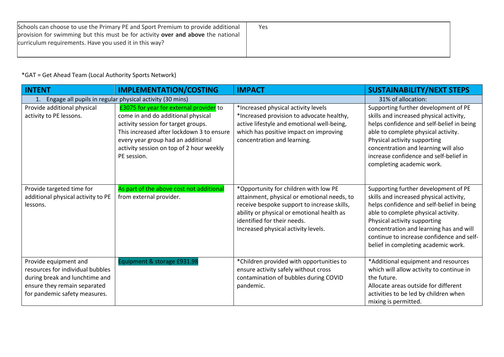| Schools can choose to use the Primary PE and Sport Premium to provide additional | Yes |
|----------------------------------------------------------------------------------|-----|
| provision for swimming but this must be for activity over and above the national |     |
| curriculum requirements. Have you used it in this way?                           |     |
|                                                                                  |     |

## \*GAT = Get Ahead Team (Local Authority Sports Network)

| <b>INTENT</b>                                                                                                                                                | <b>IMPLEMENTATION/COSTING</b>                                                                                                                                                                                                                                      | <b>IMPACT</b>                                                                                                                                                                                                                                           | <b>SUSTAINABILITY/NEXT STEPS</b>                                                                                                                                                                                                                                                                                                   |
|--------------------------------------------------------------------------------------------------------------------------------------------------------------|--------------------------------------------------------------------------------------------------------------------------------------------------------------------------------------------------------------------------------------------------------------------|---------------------------------------------------------------------------------------------------------------------------------------------------------------------------------------------------------------------------------------------------------|------------------------------------------------------------------------------------------------------------------------------------------------------------------------------------------------------------------------------------------------------------------------------------------------------------------------------------|
| 1. Engage all pupils in regular physical activity (30 mins)                                                                                                  | 31% of allocation:                                                                                                                                                                                                                                                 |                                                                                                                                                                                                                                                         |                                                                                                                                                                                                                                                                                                                                    |
| Provide additional physical<br>activity to PE lessons.                                                                                                       | £3075 for year for external provider to<br>come in and do additional physical<br>activity session for target groups.<br>This increased after lockdown 3 to ensure<br>every year group had an additional<br>activity session on top of 2 hour weekly<br>PE session. | *Increased physical activity levels<br>*Increased provision to advocate healthy,<br>active lifestyle and emotional well-being,<br>which has positive impact on improving<br>concentration and learning.                                                 | Supporting further development of PE<br>skills and increased physical activity,<br>helps confidence and self-belief in being<br>able to complete physical activity.<br>Physical activity supporting<br>concentration and learning will also<br>increase confidence and self-belief in<br>completing academic work.                 |
| Provide targeted time for<br>additional physical activity to PE<br>lessons.                                                                                  | As part of the above cost not additional<br>from external provider.                                                                                                                                                                                                | *Opportunity for children with low PE<br>attainment, physical or emotional needs, to<br>receive bespoke support to increase skills,<br>ability or physical or emotional health as<br>identified for their needs.<br>Increased physical activity levels. | Supporting further development of PE<br>skills and increased physical activity,<br>helps confidence and self-belief in being<br>able to complete physical activity.<br>Physical activity supporting<br>concentration and learning has and will<br>continue to increase confidence and self-<br>belief in completing academic work. |
| Provide equipment and<br>resources for individual bubbles<br>during break and lunchtime and<br>ensure they remain separated<br>for pandemic safety measures. | Equipment & storage £931.98                                                                                                                                                                                                                                        | *Children provided with opportunities to<br>ensure activity safely without cross<br>contamination of bubbles during COVID<br>pandemic.                                                                                                                  | *Additional equipment and resources<br>which will allow activity to continue in<br>the future.<br>Allocate areas outside for different<br>activities to be led by children when<br>mixing is permitted.                                                                                                                            |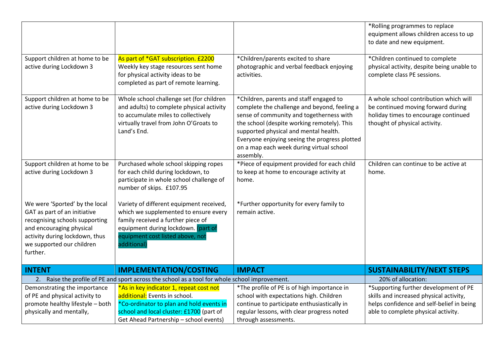|                                                                                                                                                                                                         |                                                                                                                                                                                                                   |                                                                                                                                                                                                                                                                                                                                       | *Rolling programmes to replace<br>equipment allows children access to up<br>to date and new equipment.                                                |
|---------------------------------------------------------------------------------------------------------------------------------------------------------------------------------------------------------|-------------------------------------------------------------------------------------------------------------------------------------------------------------------------------------------------------------------|---------------------------------------------------------------------------------------------------------------------------------------------------------------------------------------------------------------------------------------------------------------------------------------------------------------------------------------|-------------------------------------------------------------------------------------------------------------------------------------------------------|
| Support children at home to be<br>active during Lockdown 3                                                                                                                                              | As part of *GAT subscription. £2200<br>Weekly key stage resources sent home<br>for physical activity ideas to be<br>completed as part of remote learning.                                                         | *Children/parents excited to share<br>photographic and verbal feedback enjoying<br>activities.                                                                                                                                                                                                                                        | *Children continued to complete<br>physical activity, despite being unable to<br>complete class PE sessions.                                          |
| Support children at home to be<br>active during Lockdown 3                                                                                                                                              | Whole school challenge set (for children<br>and adults) to complete physical activity<br>to accumulate miles to collectively<br>virtually travel from John O'Groats to<br>Land's End.                             | *Children, parents and staff engaged to<br>complete the challenge and beyond, feeling a<br>sense of community and togetherness with<br>the school (despite working remotely). This<br>supported physical and mental health.<br>Everyone enjoying seeing the progress plotted<br>on a map each week during virtual school<br>assembly. | A whole school contribution which will<br>be continued moving forward during<br>holiday times to encourage continued<br>thought of physical activity. |
| Support children at home to be<br>active during Lockdown 3                                                                                                                                              | Purchased whole school skipping ropes<br>for each child during lockdown, to<br>participate in whole school challenge of<br>number of skips. £107.95                                                               | *Piece of equipment provided for each child<br>to keep at home to encourage activity at<br>home.                                                                                                                                                                                                                                      | Children can continue to be active at<br>home.                                                                                                        |
| We were 'Sported' by the local<br>GAT as part of an initiative<br>recognising schools supporting<br>and encouraging physical<br>activity during lockdown, thus<br>we supported our children<br>further. | Variety of different equipment received,<br>which we supplemented to ensure every<br>family received a further piece of<br>equipment during lockdown. (part of<br>equipment cost listed above, not<br>additional) | *Further opportunity for every family to<br>remain active.                                                                                                                                                                                                                                                                            |                                                                                                                                                       |
| <b>INTENT</b>                                                                                                                                                                                           | <b>IMPLEMENTATION/COSTING</b>                                                                                                                                                                                     | <b>IMPACT</b>                                                                                                                                                                                                                                                                                                                         | <b>SUSTAINABILITY/NEXT STEPS</b>                                                                                                                      |
| 2. Raise the profile of PE and sport across the school as a tool for whole school improvement.                                                                                                          |                                                                                                                                                                                                                   |                                                                                                                                                                                                                                                                                                                                       | 20% of allocation:                                                                                                                                    |
| Demonstrating the importance                                                                                                                                                                            | *As in key indicator 1, repeat cost not                                                                                                                                                                           | *The profile of PE is of high importance in                                                                                                                                                                                                                                                                                           | *Supporting further development of PE                                                                                                                 |
| of PE and physical activity to                                                                                                                                                                          | additional: Events in school.                                                                                                                                                                                     | school with expectations high. Children                                                                                                                                                                                                                                                                                               | skills and increased physical activity,                                                                                                               |
| promote healthy lifestyle - both                                                                                                                                                                        | *Co-ordinator to plan and hold events in<br>school and local cluster: £1700 (part of                                                                                                                              | continue to participate enthusiastically in<br>regular lessons, with clear progress noted                                                                                                                                                                                                                                             | helps confidence and self-belief in being                                                                                                             |
| physically and mentally,                                                                                                                                                                                | Get Ahead Partnership - school events)                                                                                                                                                                            | through assessments.                                                                                                                                                                                                                                                                                                                  | able to complete physical activity.                                                                                                                   |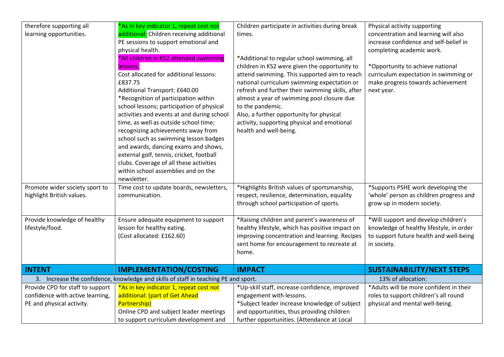| therefore supporting all         | *As in key indicator 1, repeat cost not                                             | Children participate in activities during break  | Physical activity supporting             |
|----------------------------------|-------------------------------------------------------------------------------------|--------------------------------------------------|------------------------------------------|
| learning opportunities.          | additional: Children receiving additional                                           | times.                                           | concentration and learning will also     |
|                                  | PE sessions to support emotional and                                                |                                                  | increase confidence and self-belief in   |
|                                  | physical health.                                                                    |                                                  | completing academic work.                |
|                                  | *All children in KS2 attended swimming                                              | *Additional to regular school swimming, all      |                                          |
|                                  | lessons.                                                                            | children in KS2 were given the opportunity to    | *Opportunity to achieve national         |
|                                  | Cost allocated for additional lessons:                                              | attend swimming. This supported aim to reach     | curriculum expectation in swimming or    |
|                                  | £837.75                                                                             | national curriculum swimming expectation or      | make progress towards achievement        |
|                                  | Additional Transport: £640.00                                                       | refresh and further their swimming skills, after | next year.                               |
|                                  | *Recognition of participation within                                                | almost a year of swimming pool closure due       |                                          |
|                                  | school lessons; participation of physical                                           | to the pandemic.                                 |                                          |
|                                  | activities and events at and during school                                          | Also, a further opportunity for physical         |                                          |
|                                  | time, as well as outside school time;                                               | activity, supporting physical and emotional      |                                          |
|                                  | recognizing achievements away from                                                  | health and well-being.                           |                                          |
|                                  | school such as swimming lesson badges                                               |                                                  |                                          |
|                                  | and awards, dancing exams and shows,                                                |                                                  |                                          |
|                                  | external golf, tennis, cricket, football                                            |                                                  |                                          |
|                                  | clubs. Coverage of all these activities                                             |                                                  |                                          |
|                                  | within school assemblies and on the                                                 |                                                  |                                          |
|                                  | newsletter.                                                                         |                                                  |                                          |
| Promote wider society sport to   | Time cost to update boards, newsletters,                                            | *Highlights British values of sportsmanship,     | *Supports PSHE work developing the       |
| highlight British values.        | communication.                                                                      | respect, resilience, determination, equality     | 'whole' person as children progress and  |
|                                  |                                                                                     | through school participation of sports.          | grow up in modern society.               |
|                                  |                                                                                     |                                                  |                                          |
| Provide knowledge of healthy     | Ensure adequate equipment to support                                                | *Raising children and parent's awareness of      | *Will support and develop children's     |
| lifestyle/food.                  | lesson for healthy eating.                                                          | healthy lifestyle, which has positive impact on  | knowledge of healthy lifestyle, in order |
|                                  | (Cost allocated: £162.60)                                                           | improving concentration and learning. Recipes    | to support future health and well-being  |
|                                  |                                                                                     | sent home for encouragement to recreate at       | in society.                              |
|                                  |                                                                                     | home.                                            |                                          |
|                                  |                                                                                     |                                                  |                                          |
| <b>INTENT</b>                    | <b>IMPLEMENTATION/COSTING</b>                                                       | <b>IMPACT</b>                                    | <b>SUSTAINABILITY/NEXT STEPS</b>         |
|                                  | 3. Increase the confidence, knowledge and skills of staff in teaching PE and sport. |                                                  | 13% of allocation:                       |
| Provide CPD for staff to support | *As in key indicator 1, repeat cost not                                             | *Up-skill staff, increase confidence, improved   | *Adults will be more confident in their  |
| confidence with active learning, | additional: (part of Get Ahead                                                      | engagement with lessons.                         | roles to support children's all round    |
| PE and physical activity.        | Partnership)                                                                        | *Subject leader increase knowledge of subject    | physical and mental well-being.          |
|                                  | Online CPD and subject leader meetings                                              | and opportunities, thus providing children       |                                          |
|                                  | to support curriculum development and                                               | further opportunities. (Attendance at Local      |                                          |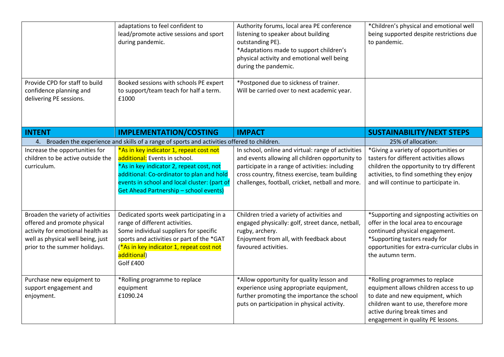|                                                                                                                                                                             | adaptations to feel confident to<br>lead/promote active sessions and sport<br>during pandemic.                                                                                                                                                                     | Authority forums, local area PE conference<br>listening to speaker about building<br>outstanding PE).<br>*Adaptations made to support children's<br>physical activity and emotional well being<br>during the pandemic.                                         | *Children's physical and emotional well<br>being supported despite restrictions due<br>to pandemic.                                                                                                                        |
|-----------------------------------------------------------------------------------------------------------------------------------------------------------------------------|--------------------------------------------------------------------------------------------------------------------------------------------------------------------------------------------------------------------------------------------------------------------|----------------------------------------------------------------------------------------------------------------------------------------------------------------------------------------------------------------------------------------------------------------|----------------------------------------------------------------------------------------------------------------------------------------------------------------------------------------------------------------------------|
| Provide CPD for staff to build<br>confidence planning and<br>delivering PE sessions.                                                                                        | Booked sessions with schools PE expert<br>to support/team teach for half a term.<br>£1000                                                                                                                                                                          | *Postponed due to sickness of trainer.<br>Will be carried over to next academic year.                                                                                                                                                                          |                                                                                                                                                                                                                            |
| <b>INTENT</b>                                                                                                                                                               | <b>IMPLEMENTATION/COSTING</b>                                                                                                                                                                                                                                      | <b>IMPACT</b>                                                                                                                                                                                                                                                  | <b>SUSTAINABILITY/NEXT STEPS</b>                                                                                                                                                                                           |
|                                                                                                                                                                             | 4. Broaden the experience and skills of a range of sports and activities offered to children.                                                                                                                                                                      |                                                                                                                                                                                                                                                                | 25% of allocation:                                                                                                                                                                                                         |
| Increase the opportunities for<br>children to be active outside the<br>curriculum.                                                                                          | *As in key indicator 1, repeat cost not<br>additional: Events in school.<br>*As in key indicator 2, repeat cost, not<br>additional: Co-ordinator to plan and hold<br>events in school and local cluster: (part of<br><b>Get Ahead Partnership - school events)</b> | In school, online and virtual: range of activities<br>and events allowing all children opportunity to<br>participate in a range of activities: including<br>cross country, fitness exercise, team building<br>challenges, football, cricket, netball and more. | *Giving a variety of opportunities or<br>tasters for different activities allows<br>children the opportunity to try different<br>activities, to find something they enjoy<br>and will continue to participate in.          |
| Broaden the variety of activities<br>offered and promote physical<br>activity for emotional health as<br>well as physical well being, just<br>prior to the summer holidays. | Dedicated sports week participating in a<br>range of different activities.<br>Some individual suppliers for specific<br>sports and activities or part of the *GAT<br>(*As in key indicator 1, repeat cost not<br>additional)<br>Golf £400                          | Children tried a variety of activities and<br>engaged physically: golf, street dance, netball,<br>rugby, archery.<br>Enjoyment from all, with feedback about<br>favoured activities.                                                                           | *Supporting and signposting activities on<br>offer in the local area to encourage<br>continued physical engagement.<br>*Supporting tasters ready for<br>opportunities for extra-curricular clubs in<br>the autumn term.    |
| Purchase new equipment to<br>support engagement and<br>enjoyment.                                                                                                           | *Rolling programme to replace<br>equipment<br>£1090.24                                                                                                                                                                                                             | *Allow opportunity for quality lesson and<br>experience using appropriate equipment,<br>further promoting the importance the school<br>puts on participation in physical activity.                                                                             | *Rolling programmes to replace<br>equipment allows children access to up<br>to date and new equipment, which<br>children want to use, therefore more<br>active during break times and<br>engagement in quality PE lessons. |